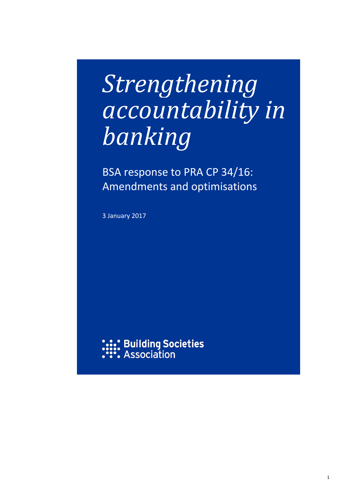# *Strengthening accountability in banking*

BSA response to PRA CP 34/16: Amendments and optimisations

3 January 2017

**: Building Societies**<br>: Association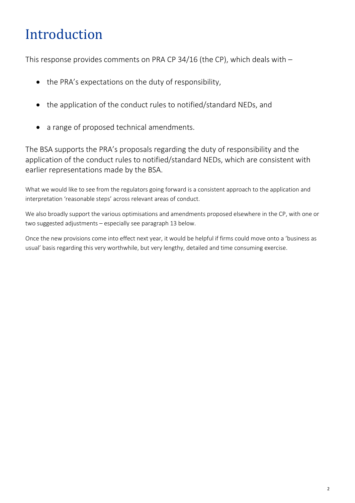## Introduction

This response provides comments on PRA CP 34/16 (the CP), which deals with –

- the PRA's expectations on the duty of responsibility,
- the application of the conduct rules to notified/standard NEDs, and
- a range of proposed technical amendments.

The BSA supports the PRA's proposals regarding the duty of responsibility and the application of the conduct rules to notified/standard NEDs, which are consistent with earlier representations made by the BSA.

What we would like to see from the regulators going forward is a consistent approach to the application and interpretation 'reasonable steps' across relevant areas of conduct.

We also broadly support the various optimisations and amendments proposed elsewhere in the CP, with one or two suggested adjustments – especially see paragraph 13 below.

Once the new provisions come into effect next year, it would be helpful if firms could move onto a 'business as usual' basis regarding this very worthwhile, but very lengthy, detailed and time consuming exercise.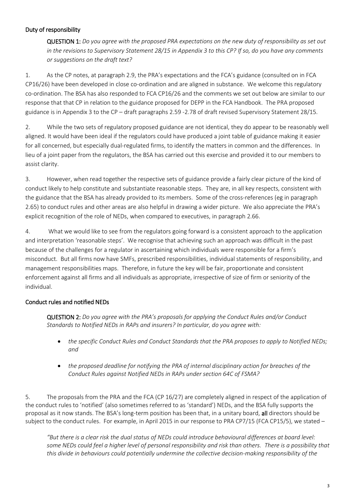#### Duty of responsibility

QUESTION 1: *Do you agree with the proposed PRA expectations on the new duty of responsibility as set out in the revisions to Supervisory Statement 28/15 in Appendix 3 to this CP? If so, do you have any comments or suggestions on the draft text?*

1. As the CP notes, at paragraph 2.9, the PRA's expectations and the FCA's guidance (consulted on in FCA CP16/26) have been developed in close co-ordination and are aligned in substance. We welcome this regulatory co-ordination. The BSA has also responded to FCA CP16/26 and the comments we set out below are similar to our response that that CP in relation to the guidance proposed for DEPP in the FCA Handbook. The PRA proposed guidance is in Appendix 3 to the CP – draft paragraphs 2.59 -2.78 of draft revised Supervisory Statement 28/15.

2. While the two sets of regulatory proposed guidance are not identical, they do appear to be reasonably well aligned. It would have been ideal if the regulators could have produced a joint table of guidance making it easier for all concerned, but especially dual-regulated firms, to identify the matters in common and the differences. In lieu of a joint paper from the regulators, the BSA has carried out this exercise and provided it to our members to assist clarity.

3. However, when read together the respective sets of guidance provide a fairly clear picture of the kind of conduct likely to help constitute and substantiate reasonable steps. They are, in all key respects, consistent with the guidance that the BSA has already provided to its members. Some of the cross-references (eg in paragraph 2.65) to conduct rules and other areas are also helpful in drawing a wider picture. We also appreciate the PRA's explicit recognition of the role of NEDs, when compared to executives, in paragraph 2.66.

4. What we would like to see from the regulators going forward is a consistent approach to the application and interpretation 'reasonable steps'. We recognise that achieving such an approach was difficult in the past because of the challenges for a regulator in ascertaining which individuals were responsible for a firm's misconduct. But all firms now have SMFs, prescribed responsibilities, individual statements of responsibility, and management responsibilities maps. Therefore, in future the key will be fair, proportionate and consistent enforcement against all firms and all individuals as appropriate, irrespective of size of firm or seniority of the individual.

#### Conduct rules and notified NEDs

QUESTION 2: *Do you agree with the PRA's proposals for applying the Conduct Rules and/or Conduct Standards to Notified NEDs in RAPs and insurers? In particular, do you agree with:* 

- *the specific Conduct Rules and Conduct Standards that the PRA proposes to apply to Notified NEDs; and*
- *the proposed deadline for notifying the PRA of internal disciplinary action for breaches of the Conduct Rules against Notified NEDs in RAPs under section 64C of FSMA?*

5. The proposals from the PRA and the FCA (CP 16/27) are completely aligned in respect of the application of the conduct rules to 'notified' (also sometimes referred to as 'standard') NEDs, and the BSA fully supports the proposal as it now stands. The BSA's long-term position has been that, in a unitary board, all directors should be subject to the conduct rules. For example, in April 2015 in our response to PRA CP7/15 (FCA CP15/5), we stated –

*"But there is a clear risk the dual status of NEDs could introduce behavioural differences at board level: some NEDs could feel a higher level of personal responsibility and risk than others. There is a possibility that this divide in behaviours could potentially undermine the collective decision-making responsibility of the*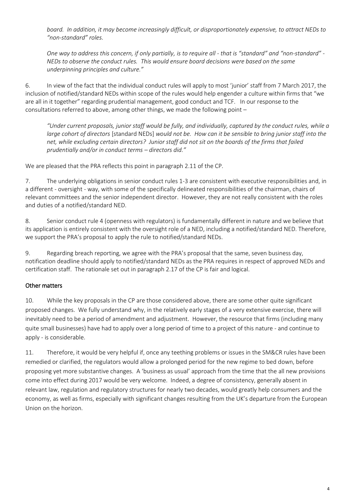*board. In addition, it may become increasingly difficult, or disproportionately expensive, to attract NEDs to "non-standard" roles.*

*One way to address this concern, if only partially, is to require all - that is "standard" and "non-standard" - NEDs to observe the conduct rules. This would ensure board decisions were based on the same underpinning principles and culture."*

6. In view of the fact that the individual conduct rules will apply to most 'junior' staff from 7 March 2017, the inclusion of notified/standard NEDs within scope of the rules would help engender a culture within firms that "we are all in it together" regarding prudential management, good conduct and TCF. In our response to the consultations referred to above, among other things, we made the following point –

*"Under current proposals, junior staff would be fully, and individually, captured by the conduct rules, while a large cohort of directors* [standard NEDs] *would not be. How can it be sensible to bring junior staff into the net, while excluding certain directors? Junior staff did not sit on the boards of the firms that failed prudentially and/or in conduct terms – directors did."*

We are pleased that the PRA reflects this point in paragraph 2.11 of the CP.

7. The underlying obligations in senior conduct rules 1-3 are consistent with executive responsibilities and, in a different - oversight - way, with some of the specifically delineated responsibilities of the chairman, chairs of relevant committees and the senior independent director. However, they are not really consistent with the roles and duties of a notified/standard NED.

8. Senior conduct rule 4 (openness with regulators) is fundamentally different in nature and we believe that its application is entirely consistent with the oversight role of a NED, including a notified/standard NED. Therefore, we support the PRA's proposal to apply the rule to notified/standard NEDs.

9. Regarding breach reporting, we agree with the PRA's proposal that the same, seven business day, notification deadline should apply to notified/standard NEDs as the PRA requires in respect of approved NEDs and certification staff. The rationale set out in paragraph 2.17 of the CP is fair and logical.

#### Other matters

10. While the key proposals in the CP are those considered above, there are some other quite significant proposed changes. We fully understand why, in the relatively early stages of a very extensive exercise, there will inevitably need to be a period of amendment and adjustment. However, the resource that firms (including many quite small businesses) have had to apply over a long period of time to a project of this nature - and continue to apply - is considerable.

11. Therefore, it would be very helpful if, once any teething problems or issues in the SM&CR rules have been remedied or clarified, the regulators would allow a prolonged period for the new regime to bed down, before proposing yet more substantive changes. A 'business as usual' approach from the time that the all new provisions come into effect during 2017 would be very welcome. Indeed, a degree of consistency, generally absent in relevant law, regulation and regulatory structures for nearly two decades, would greatly help consumers and the economy, as well as firms, especially with significant changes resulting from the UK's departure from the European Union on the horizon.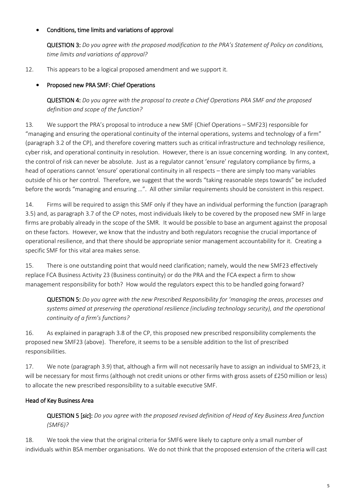#### Conditions, time limits and variations of approval

QUESTION 3: *Do you agree with the proposed modification to the PRA's Statement of Policy on conditions, time limits and variations of approval?*

12. This appears to be a logical proposed amendment and we support it.

#### Proposed new PRA SMF: Chief Operations

QUESTION 4: *Do you agree with the proposal to create a Chief Operations PRA SMF and the proposed definition and scope of the function?*

13*.* We support the PRA's proposal to introduce a new SMF (Chief Operations – SMF23) responsible for "managing and ensuring the operational continuity of the internal operations, systems and technology of a firm" (paragraph 3.2 of the CP), and therefore covering matters such as critical infrastructure and technology resilience, cyber risk, and operational continuity in resolution. However, there is an issue concerning wording. In any context, the control of risk can never be absolute. Just as a regulator cannot 'ensure' regulatory compliance by firms, a head of operations cannot 'ensure' operational continuity in all respects – there are simply too many variables outside of his or her control. Therefore, we suggest that the words "taking reasonable steps towards" be included before the words "managing and ensuring …". All other similar requirements should be consistent in this respect.

14. Firms will be required to assign this SMF only if they have an individual performing the function (paragraph 3.5) and, as paragraph 3.7 of the CP notes, most individuals likely to be covered by the proposed new SMF in large firms are probably already in the scope of the SMR. It would be possible to base an argument against the proposal on these factors. However, we know that the industry and both regulators recognise the crucial importance of operational resilience, and that there should be appropriate senior management accountability for it. Creating a specific SMF for this vital area makes sense.

15. There is one outstanding point that would need clarification; namely, would the new SMF23 effectively replace FCA Business Activity 23 (Business continuity) or do the PRA and the FCA expect a firm to show management responsibility for both? How would the regulators expect this to be handled going forward?

QUESTION 5: *Do you agree with the new Prescribed Responsibility for 'managing the areas, processes and systems aimed at preserving the operational resilience (including technology security), and the operational continuity of a firm's functions?*

16. As explained in paragraph 3.8 of the CP, this proposed new prescribed responsibility complements the proposed new SMF23 (above). Therefore, it seems to be a sensible addition to the list of prescribed responsibilities.

17. We note (paragraph 3.9) that, although a firm will not necessarily have to assign an individual to SMF23, it will be necessary for most firms (although not credit unions or other firms with gross assets of £250 million or less) to allocate the new prescribed responsibility to a suitable executive SMF.

#### Head of Key Business Area

QUESTION 5 [*sic*]: *Do you agree with the proposed revised definition of Head of Key Business Area function (SMF6)?*

18. We took the view that the original criteria for SMF6 were likely to capture only a small number of individuals within BSA member organisations. We do not think that the proposed extension of the criteria will cast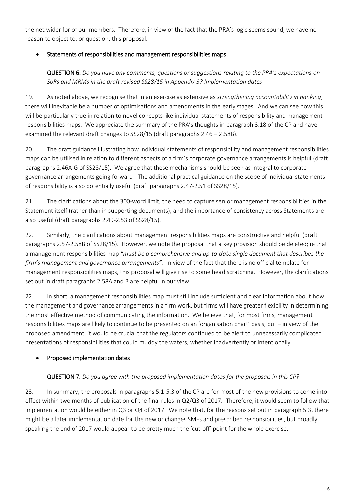the net wider for of our members. Therefore, in view of the fact that the PRA's logic seems sound, we have no reason to object to, or question, this proposal.

#### Statements of responsibilities and management responsibilities maps

QUESTION 6: *Do you have any comments, questions or suggestions relating to the PRA's expectations on SoRs and MRMs in the draft revised SS28/15 in Appendix 3? Implementation dates* 

19. As noted above, we recognise that in an exercise as extensive as *strengthening accountability in banking*, there will inevitable be a number of optimisations and amendments in the early stages. And we can see how this will be particularly true in relation to novel concepts like individual statements of responsibility and management responsibilities maps. We appreciate the summary of the PRA's thoughts in paragraph 3.18 of the CP and have examined the relevant draft changes to SS28/15 (draft paragraphs 2.46 – 2.58B).

20. The draft guidance illustrating how individual statements of responsibility and management responsibilities maps can be utilised in relation to different aspects of a firm's corporate governance arrangements is helpful (draft paragraphs 2.46A-G of SS28/15). We agree that these mechanisms should be seen as integral to corporate governance arrangements going forward. The additional practical guidance on the scope of individual statements of responsibility is also potentially useful (draft paragraphs 2.47-2.51 of SS28/15).

21. The clarifications about the 300-word limit, the need to capture senior management responsibilities in the Statement itself (rather than in supporting documents), and the importance of consistency across Statements are also useful (draft paragraphs 2.49-2.53 of SS28/15).

22. Similarly, the clarifications about management responsibilities maps are constructive and helpful (draft paragraphs 2.57-2.58B of SS28/15). However, we note the proposal that a key provision should be deleted; ie that a management responsibilities map *"must be a comprehensive and up-to-date single document that describes the firm's management and governance arrangements".* In view of the fact that there is no official template for management responsibilities maps, this proposal will give rise to some head scratching. However, the clarifications set out in draft paragraphs 2.58A and B are helpful in our view.

22. In short, a management responsibilities map must still include sufficient and clear information about how the management and governance arrangements in a firm work, but firms will have greater flexibility in determining the most effective method of communicating the information. We believe that, for most firms, management responsibilities maps are likely to continue to be presented on an 'organisation chart' basis, but – in view of the proposed amendment, it would be crucial that the regulators continued to be alert to unnecessarily complicated presentations of responsibilities that could muddy the waters, whether inadvertently or intentionally.

#### Proposed implementation dates

#### QUESTION 7*: Do you agree with the proposed implementation dates for the proposals in this CP?*

23. In summary, the proposals in paragraphs 5.1-5.3 of the CP are for most of the new provisions to come into effect within two months of publication of the final rules in Q2/Q3 of 2017. Therefore, it would seem to follow that implementation would be either in Q3 or Q4 of 2017. We note that, for the reasons set out in paragraph 5.3, there might be a later implementation date for the new or changes SMFs and prescribed responsibilities, but broadly speaking the end of 2017 would appear to be pretty much the 'cut-off' point for the whole exercise.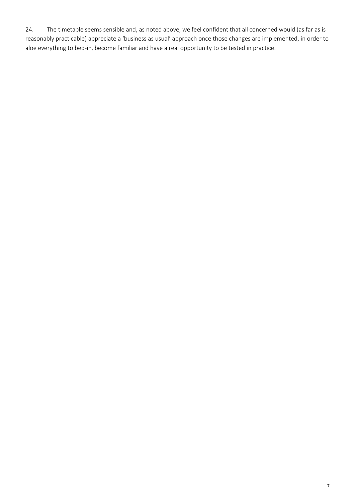24. The timetable seems sensible and, as noted above, we feel confident that all concerned would (as far as is reasonably practicable) appreciate a 'business as usual' approach once those changes are implemented, in order to aloe everything to bed-in, become familiar and have a real opportunity to be tested in practice.